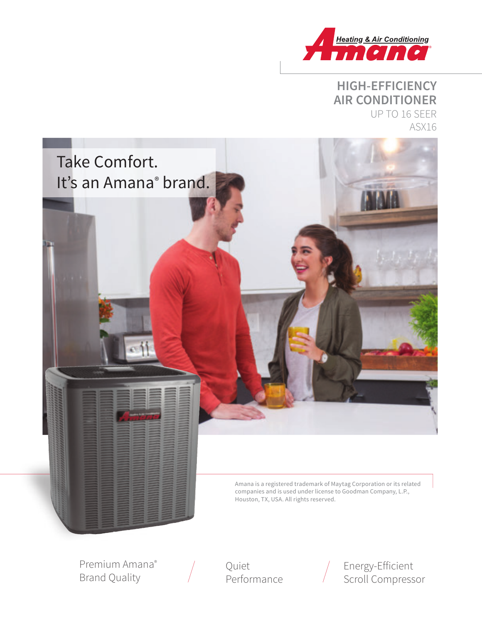

## **HIGH-EFFICIENCY AIR CONDITIONER** UP TO 16 SEER ASX16



Premium Amana® Brand Quality

Quiet Performance Energy-Efficient Scroll Compressor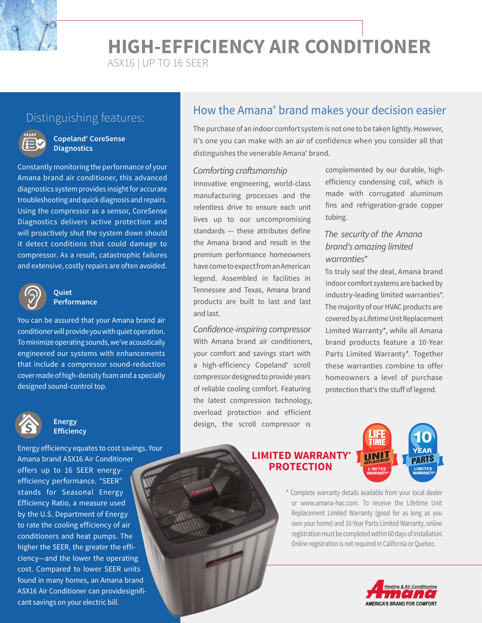**HIGH-EFFICIENCY AIR CONDITIONER**

ASX16 | UP TO 16 SEER



#### **Copeland® CoreSense Diagnostics**

Constantly monitoring the performance of your Amana brand air conditioner, this advanced diagnostics system provides insight for accurate troubleshooting and quick diagnosis and repairs. Using the compressor as a sensor, CoreSense Diagnostics delivers active protection and will proactively shut the system down should it detect conditions that could damage to compressor. As a result, catastrophic failures and extensive, costly repairs are often avoided.



#### **Quiet Performance**

You can be assured that your Amana brand air conditioner will provide you with quiet operation. To minimize operating sounds, we've acoustically engineered our systems with enhancements that include a compressor sound-reduction cover made of high-density foam and a specially designed sound-control top.



#### **Energy Efficiency**

Energy efficiency equates to cost savings. Your Amana brand ASX16 Air Conditioner offers up to 16 SEER energyefficiency performance. "SEER" stands for Seasonal Energy Efficiency Ratio, a measure used by the U.S. Department of Energy to rate the cooling efficiency of air conditioners and heat pumps. The higher the SEER, the greater the efficiency—and the lower the operating cost. Compared to lower SEER units found in many homes, an Amana brand ASX16 Air Conditioner can providesignificant savings on your electric bill.

# Distinguishing features: **How the Amana<sup>®</sup> brand makes your decision easier** Distinguishing features:

The purchase of an indoor comfort system is not one to be taken lightly. However, it's one you can make with an air of confidence when you consider all that distinguishes the venerable Amana<sup>®</sup> brand.

#### Comforting craftsmanship

Innovative engineering, world-class manufacturing processes and the relentless drive to ensure each unit lives up to our uncompromising standards — these attributes define the Amana brand and result in the premium performance homeowners have come to expect from an American legend. Assembled in facilities in Tennessee and Texas, Amana brand products are built to last and last and last.

Confidence-inspiring compressor With Amana brand air conditioners, your comfort and savings start with a high-efficiency Copeland<sup>®</sup> scroll compressor designed to provide years of reliable cooling comfort. Featuring the latest compression technology, overload protection and efficient design, the scroll compressor is

complemented by our durable, highefficiency condensing coil, which is made with corrugated aluminum fins and refrigeration-grade copper tubing.

#### The security of the Amana brand's amazing limited warranties\*

To truly seal the deal, Amana brand indoor comfort systems are backed by industry-leading limited warranties\*. The majority of our HVAC products are covered by a Lifetime Unit Replacement Limited Warranty\*, while all Amana brand products feature a 10-Year Parts Limited Warranty\*. Together these warranties combine to offer homeowners a level of purchase protection that's the stuff of legend.

#### **LIMITED WARRANTY\* PROTECTION**



\* Complete warranty details available from your local dealer or www.amana-hac.com. To receive the Lifetime Unit Replacement Limited Warranty (good for as long as you own your home) and 10-Year Parts Limited Warranty, online registration must be completed within 60 days of installation. Online registration is not required in California or Quebec.

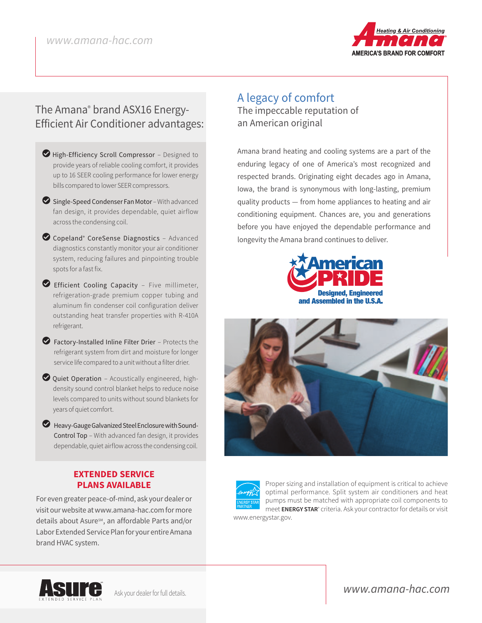

# The Amana® brand ASX16 Energy-Efficient Air Conditioner advantages:

- High-Efficiency Scroll Compressor Designed to provide years of reliable cooling comfort, it provides up to 16 SEER cooling performance for lower energy bills compared to lower SEER compressors.
- $\bullet$  Single-Speed Condenser Fan Motor With advanced fan design, it provides dependable, quiet airflow across the condensing coil.
- LCopeland® CoreSense Diagnostics Advanced diagnostics constantly monitor your air conditioner system, reducing failures and pinpointing trouble spots for a fast fix.
- LEfficient Cooling Capacity Five millimeter, refrigeration-grade premium copper tubing and aluminum fin condenser coil configuration deliver outstanding heat transfer properties with R-410A refrigerant.
- LFactory-Installed Inline Filter Drier Protects the refrigerant system from dirt and moisture for longer service life compared to a unit without a filter drier.
- $\bullet$  Quiet Operation Acoustically engineered, highdensity sound control blanket helps to reduce noise levels compared to units without sound blankets for years of quiet comfort.
- $\bullet$  Heavy-Gauge Galvanized Steel Enclosure with Sound-Control Top – With advanced fan design, it provides dependable, quiet airflow across the condensing coil.

#### **EXTENDED SERVICE PLANS AVAILABLE**

For even greater peace-of-mind, ask your dealer or visit our website at www.amana-hac.com for more details about Asure<sup>sM</sup>, an affordable Parts and/or Labor Extended Service Plan for your entire Amana brand HVAC system.

### A legacy of comfort The impeccable reputation of an American original

Amana brand heating and cooling systems are a part of the enduring legacy of one of America's most recognized and respected brands. Originating eight decades ago in Amana, Iowa, the brand is synonymous with long-lasting, premium quality products — from home appliances to heating and air conditioning equipment. Chances are, you and generations before you have enjoyed the dependable performance and longevity the Amana brand continues to deliver.







Proper sizing and installation of equipment is critical to achieve optimal performance. Split system air conditioners and heat pumps must be matched with appropriate coil components to meet **ENERGY STAR**® criteria. Ask your contractor for details or visit

www.energystar.gov.